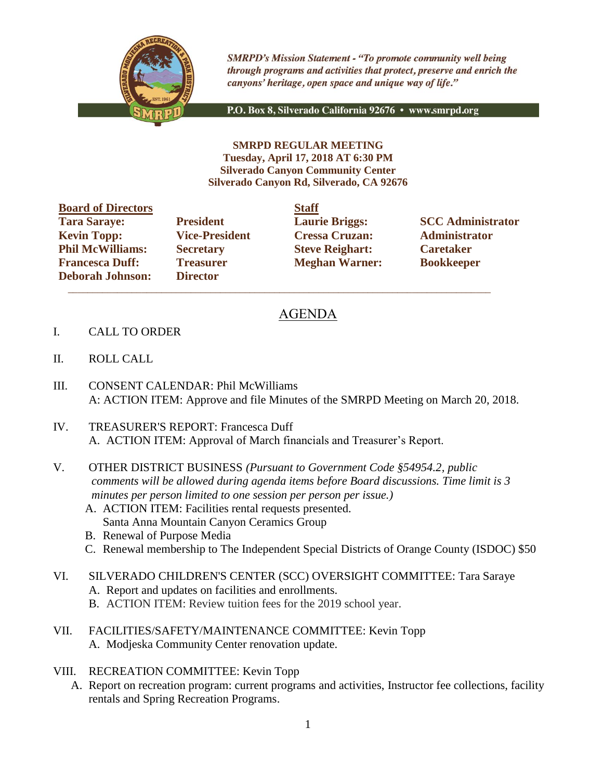

**SMRPD's Mission Statement - "To promote community well being** through programs and activities that protect, preserve and enrich the canyons' heritage, open space and unique way of life."

P.O. Box 8, Silverado California 92676 · www.smrpd.org

**SMRPD REGULAR MEETING Tuesday, April 17, 2018 AT 6:30 PM Silverado Canyon Community Center Silverado Canyon Rd, Silverado, CA 92676**

| <b>Board of Directors</b> |                       | <b>Staff</b> |
|---------------------------|-----------------------|--------------|
| <b>Tara Saraye:</b>       | <b>President</b>      | Laur         |
| <b>Kevin Topp:</b>        | <b>Vice-President</b> | <b>Cres</b>  |
| <b>Phil McWilliams:</b>   | <b>Secretary</b>      | <b>Steve</b> |
| <b>Francesca Duff:</b>    | <b>Treasurer</b>      | Megl         |
| <b>Deborah Johnson:</b>   | <b>Director</b>       |              |

**Director**  $\mathcal{L}_\text{max}$  , and the set of the set of the set of the set of the set of the set of the set of the set of the set of the set of the set of the set of the set of the set of the set of the set of the set of the set of the

**Kevin Topp: Vice-President Cressa Cruzan: Administrator Philo McGive Reighart: Philosophic Caretaker Freasurer Meghan Warner: Bookkeeper** 

**Tarages: President Laurie Briggs: SCC Administrator** 

## AGENDA

- I. CALL TO ORDER
- II. ROLL CALL
- III. CONSENT CALENDAR: Phil McWilliams A: ACTION ITEM: Approve and file Minutes of the SMRPD Meeting on March 20, 2018.
- IV. TREASURER'S REPORT: Francesca Duff A. ACTION ITEM: Approval of March financials and Treasurer's Report.
- V. OTHER DISTRICT BUSINESS *(Pursuant to Government Code §54954.2, public comments will be allowed during agenda items before Board discussions. Time limit is 3 minutes per person limited to one session per person per issue.)*
	- A. ACTION ITEM: Facilities rental requests presented. Santa Anna Mountain Canyon Ceramics Group
	- B. Renewal of Purpose Media
	- C. Renewal membership to The Independent Special Districts of Orange County (ISDOC) \$50
- VI. SILVERADO CHILDREN'S CENTER (SCC) OVERSIGHT COMMITTEE: Tara Saraye A. Report and updates on facilities and enrollments.
	- B. ACTION ITEM: Review tuition fees for the 2019 school year.
- VII. FACILITIES/SAFETY/MAINTENANCE COMMITTEE: Kevin Topp A. Modjeska Community Center renovation update.
- VIII. RECREATION COMMITTEE: Kevin Topp
	- A. Report on recreation program: current programs and activities, Instructor fee collections, facility rentals and Spring Recreation Programs.